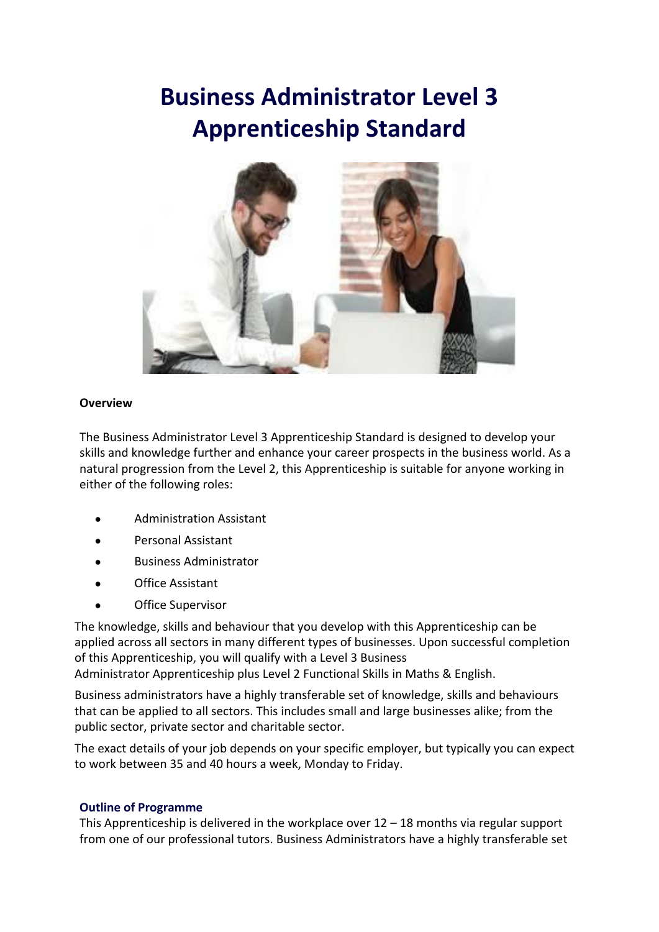# **Business Administrator Level 3 Apprenticeship Standard**



### **Overview**

The Business Administrator Level 3 Apprenticeship Standard is designed to develop your skills and knowledge further and enhance your career prospects in the business world. As a natural progression from the Level 2, this Apprenticeship is suitable for anyone working in either of the following roles:

- Administration Assistant
- Personal Assistant
- **Business Administrator**
- **Office Assistant**
- **Office Supervisor**

The knowledge, skills and behaviour that you develop with this Apprenticeship can be applied across all sectors in many different types of businesses. Upon successful completion of this Apprenticeship, you will qualify with a Level 3 Business

Administrator Apprenticeship plus Level 2 Functional Skills in Maths & English.

Business administrators have a highly transferable set of knowledge, skills and behaviours that can be applied to all sectors. This includes small and large businesses alike; from the public sector, private sector and charitable sector.

The exact details of your job depends on your specific employer, but typically you can expect to work between 35 and 40 hours a week, Monday to Friday.

### **Outline of Programme**

This Apprenticeship is delivered in the workplace over  $12 - 18$  months via regular support from one of our professional tutors. Business Administrators have a highly transferable set